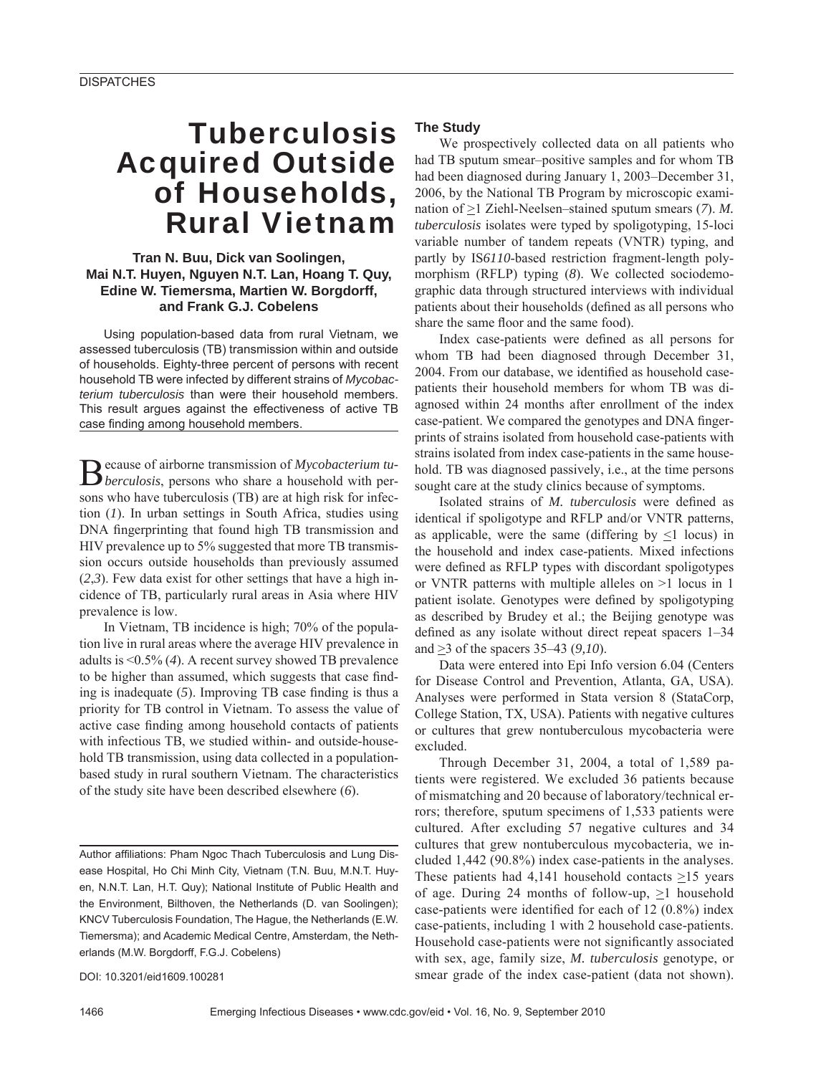# **Tuberculosis** Acquired Outside of Households, Rural Vietnam

## **Tran N. Buu, Dick van Soolingen, Mai N.T. Huyen, Nguyen N.T. Lan, Hoang T. Quy, Edine W. Tiemersma, Martien W. Borgdorff, and Frank G.J. Cobelens**

Using population-based data from rural Vietnam, we assessed tuberculosis (TB) transmission within and outside of households. Eighty-three percent of persons with recent household TB were infected by different strains of *Mycobacterium tuberculosis* than were their household members. This result argues against the effectiveness of active TB case finding among household members.

Because of airborne transmission of *Mycobacterium tu-berculosis*, persons who share a household with persons who have tuberculosis (TB) are at high risk for infection (*1*). In urban settings in South Africa, studies using DNA fingerprinting that found high TB transmission and HIV prevalence up to 5% suggested that more TB transmission occurs outside households than previously assumed (*2*,*3*). Few data exist for other settings that have a high incidence of TB, particularly rural areas in Asia where HIV prevalence is low.

In Vietnam, TB incidence is high; 70% of the population live in rural areas where the average HIV prevalence in adults is <0.5% (*4*). A recent survey showed TB prevalence to be higher than assumed, which suggests that case finding is inadequate  $(5)$ . Improving TB case finding is thus a priority for TB control in Vietnam. To assess the value of active case finding among household contacts of patients with infectious TB, we studied within- and outside-household TB transmission, using data collected in a populationbased study in rural southern Vietnam. The characteristics of the study site have been described elsewhere (*6*).

DOI: 10.3201/eid1609.100281

### **The Study**

We prospectively collected data on all patients who had TB sputum smear–positive samples and for whom TB had been diagnosed during January 1, 2003–December 31, 2006, by the National TB Program by microscopic examination of  $\geq$ 1 Ziehl-Neelsen–stained sputum smears (7). *M*. *tuberculosis* isolates were typed by spoligotyping, 15-loci variable number of tandem repeats (VNTR) typing, and partly by IS*6110*-based restriction fragment-length polymorphism (RFLP) typing (*8*). We collected sociodemographic data through structured interviews with individual patients about their households (defined as all persons who share the same floor and the same food).

Index case-patients were defined as all persons for whom TB had been diagnosed through December 31, 2004. From our database, we identified as household casepatients their household members for whom TB was diagnosed within 24 months after enrollment of the index case-patient. We compared the genotypes and DNA fingerprints of strains isolated from household case-patients with strains isolated from index case-patients in the same household. TB was diagnosed passively, i.e., at the time persons sought care at the study clinics because of symptoms.

Isolated strains of *M. tuberculosis* were defined as identical if spoligotype and RFLP and/or VNTR patterns, as applicable, were the same (differing by  $\leq 1$  locus) in the household and index case-patients. Mixed infections were defined as RFLP types with discordant spoligotypes or VNTR patterns with multiple alleles on >1 locus in 1 patient isolate. Genotypes were defined by spoligotyping as described by Brudey et al.; the Beijing genotype was defined as any isolate without direct repeat spacers 1–34 and  $\geq$ 3 of the spacers 35–43 (9,10).

Data were entered into Epi Info version 6.04 (Centers for Disease Control and Prevention, Atlanta, GA, USA). Analyses were performed in Stata version 8 (StataCorp, College Station, TX, USA). Patients with negative cultures or cultures that grew nontuberculous mycobacteria were excluded.

Through December 31, 2004, a total of 1,589 patients were registered. We excluded 36 patients because of mismatching and 20 because of laboratory/technical errors; therefore, sputum specimens of 1,533 patients were cultured. After excluding 57 negative cultures and 34 cultures that grew nontuberculous mycobacteria, we included 1,442 (90.8%) index case-patients in the analyses. These patients had 4,141 household contacts  $\geq$ 15 years of age. During 24 months of follow-up,  $\geq 1$  household case-patients were identified for each of  $12 (0.8\%)$  index case-patients, including 1 with 2 household case-patients. Household case-patients were not significantly associated with sex, age, family size, *M. tuberculosis* genotype, or smear grade of the index case-patient (data not shown).

Author affiliations: Pham Ngoc Thach Tuberculosis and Lung Disease Hospital, Ho Chi Minh City, Vietnam (T.N. Buu, M.N.T. Huyen, N.N.T. Lan, H.T. Quy); National Institute of Public Health and the Environment, Bilthoven, the Netherlands (D. van Soolingen); KNCV Tuberculosis Foundation, The Hague, the Netherlands (E.W. Tiemersma); and Academic Medical Centre, Amsterdam, the Netherlands (M.W. Borgdorff, F.G.J. Cobelens)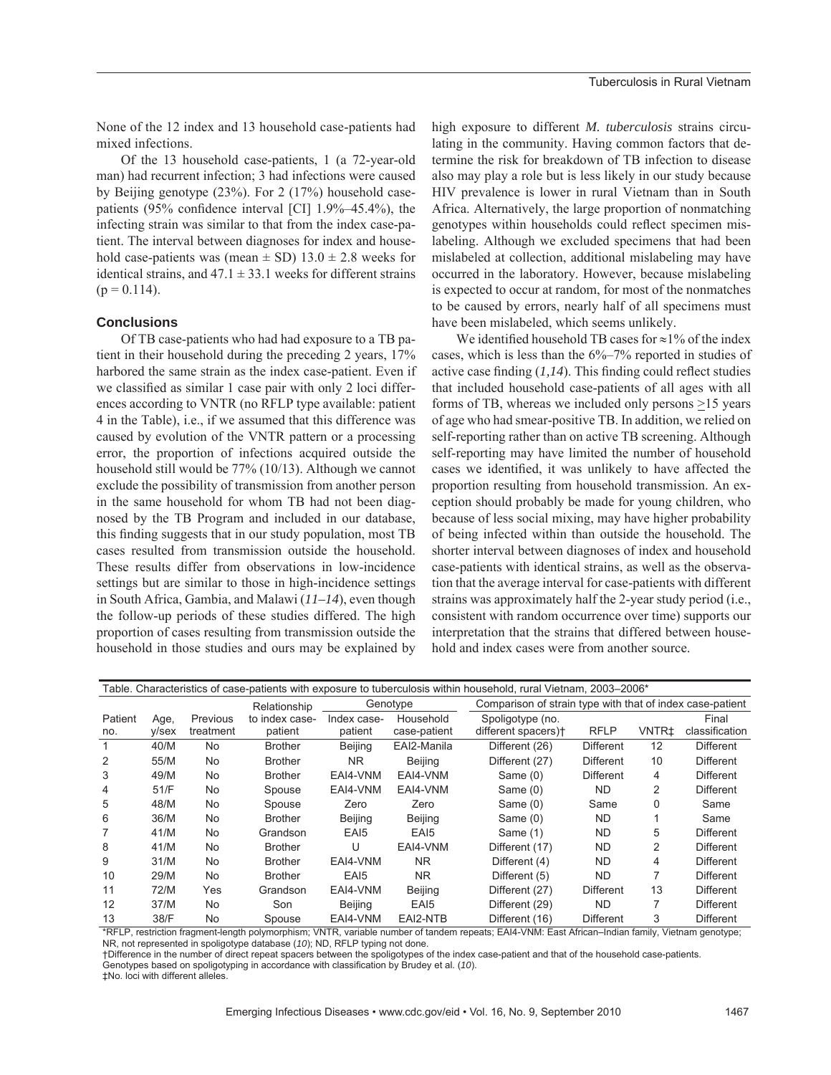None of the 12 index and 13 household case-patients had mixed infections.

Of the 13 household case-patients, 1 (a 72-year-old man) had recurrent infection; 3 had infections were caused by Beijing genotype (23%). For 2 (17%) household casepatients (95% confidence interval [CI]  $1.9\%$ –45.4%), the infecting strain was similar to that from the index case-patient. The interval between diagnoses for index and household case-patients was (mean  $\pm$  SD) 13.0  $\pm$  2.8 weeks for identical strains, and  $47.1 \pm 33.1$  weeks for different strains  $(p = 0.114)$ .

#### **Conclusions**

Of TB case-patients who had had exposure to a TB patient in their household during the preceding 2 years, 17% harbored the same strain as the index case-patient. Even if we classified as similar 1 case pair with only 2 loci differences according to VNTR (no RFLP type available: patient 4 in the Table), i.e., if we assumed that this difference was caused by evolution of the VNTR pattern or a processing error, the proportion of infections acquired outside the household still would be 77% (10/13). Although we cannot exclude the possibility of transmission from another person in the same household for whom TB had not been diagnosed by the TB Program and included in our database, this finding suggests that in our study population, most TB cases resulted from transmission outside the household. These results differ from observations in low-incidence settings but are similar to those in high-incidence settings in South Africa, Gambia, and Malawi (*11–14*), even though the follow-up periods of these studies differed. The high proportion of cases resulting from transmission outside the household in those studies and ours may be explained by

high exposure to different *M. tuberculosis* strains circulating in the community. Having common factors that determine the risk for breakdown of TB infection to disease also may play a role but is less likely in our study because HIV prevalence is lower in rural Vietnam than in South Africa. Alternatively, the large proportion of nonmatching genotypes within households could reflect specimen mislabeling. Although we excluded specimens that had been mislabeled at collection, additional mislabeling may have occurred in the laboratory. However, because mislabeling is expected to occur at random, for most of the nonmatches to be caused by errors, nearly half of all specimens must have been mislabeled, which seems unlikely.

We identified household TB cases for  $\approx$ 1% of the index cases, which is less than the 6%–7% reported in studies of active case finding  $(1,14)$ . This finding could reflect studies that included household case-patients of all ages with all forms of TB, whereas we included only persons  $\geq$ 15 years of age who had smear-positive TB. In addition, we relied on self-reporting rather than on active TB screening. Although self-reporting may have limited the number of household cases we identified, it was unlikely to have affected the proportion resulting from household transmission. An exception should probably be made for young children, who because of less social mixing, may have higher probability of being infected within than outside the household. The shorter interval between diagnoses of index and household case-patients with identical strains, as well as the observation that the average interval for case-patients with different strains was approximately half the 2-year study period (i.e., consistent with random occurrence over time) supports our interpretation that the strains that differed between household and index cases were from another source.

| Table. Characteristics of case-patients with exposure to tuberculosis within household, rural Vietnam, 2003–2006* |          |           |                |                  |                  |                                                           |                  |              |                  |
|-------------------------------------------------------------------------------------------------------------------|----------|-----------|----------------|------------------|------------------|-----------------------------------------------------------|------------------|--------------|------------------|
|                                                                                                                   |          |           | Relationship   | Genotype         |                  | Comparison of strain type with that of index case-patient |                  |              |                  |
| Patient                                                                                                           | Age,     | Previous  | to index case- | Index case-      | Household        | Spoligotype (no.                                          |                  |              | Final            |
| no.                                                                                                               | $V$ /sex | treatment | patient        | patient          | case-patient     | different spacers) <sup>+</sup>                           | <b>RFLP</b>      | <b>VNTR±</b> | classification   |
|                                                                                                                   | 40/M     | No        | <b>Brother</b> | Beijing          | EAI2-Manila      | Different (26)                                            | <b>Different</b> | 12           | <b>Different</b> |
| 2                                                                                                                 | 55/M     | No.       | <b>Brother</b> | NR.              | Beijing          | Different (27)                                            | <b>Different</b> | 10           | <b>Different</b> |
| 3                                                                                                                 | 49/M     | No.       | <b>Brother</b> | EAI4-VNM         | EAI4-VNM         | Same $(0)$                                                | <b>Different</b> | 4            | Different        |
| 4                                                                                                                 | 51/F     | <b>No</b> | Spouse         | EAI4-VNM         | EAI4-VNM         | Same (0)                                                  | <b>ND</b>        | 2            | <b>Different</b> |
| 5                                                                                                                 | 48/M     | No.       | Spouse         | Zero             | Zero             | Same (0)                                                  | Same             | 0            | Same             |
| 6                                                                                                                 | 36/M     | No.       | <b>Brother</b> | <b>Beijing</b>   | Beijing          | Same (0)                                                  | ND.              |              | Same             |
|                                                                                                                   | 41/M     | No.       | Grandson       | EA <sub>I5</sub> | EAI <sub>5</sub> | Same (1)                                                  | <b>ND</b>        | 5            | <b>Different</b> |
| 8                                                                                                                 | 41/M     | No.       | <b>Brother</b> | U                | EAI4-VNM         | Different (17)                                            | <b>ND</b>        | 2            | <b>Different</b> |
| 9                                                                                                                 | 31/M     | No.       | <b>Brother</b> | EAI4-VNM         | NR.              | Different (4)                                             | <b>ND</b>        | 4            | <b>Different</b> |
| 10                                                                                                                | 29/M     | No.       | <b>Brother</b> | EA <sub>I5</sub> | NR.              | Different (5)                                             | <b>ND</b>        | 7            | <b>Different</b> |
| 11                                                                                                                | 72/M     | Yes       | Grandson       | EAI4-VNM         | Beijing          | Different (27)                                            | <b>Different</b> | 13           | <b>Different</b> |
| 12                                                                                                                | 37/M     | No.       | Son            | Beijing          | EA <sub>I5</sub> | Different (29)                                            | <b>ND</b>        |              | Different        |
| 13                                                                                                                | 38/F     | No        | Spouse         | EAI4-VNM         | EAI2-NTB         | Different (16)                                            | <b>Different</b> | 3            | <b>Different</b> |

\*RFLP, restriction fragment-length polymorphism; VNTR, variable number of tandem repeats; EAI4-VNM: East African–Indian family, Vietnam genotype; NR, not represented in spoligotype database (*10*); ND, RFLP typing not done.

†Difference in the number of direct repeat spacers between the spoligotypes of the index case-patient and that of the household case-patients.

Genotypes based on spoligotyping in accordance with classification by Brudey et al. (*10*).

‡No. loci with different alleles.